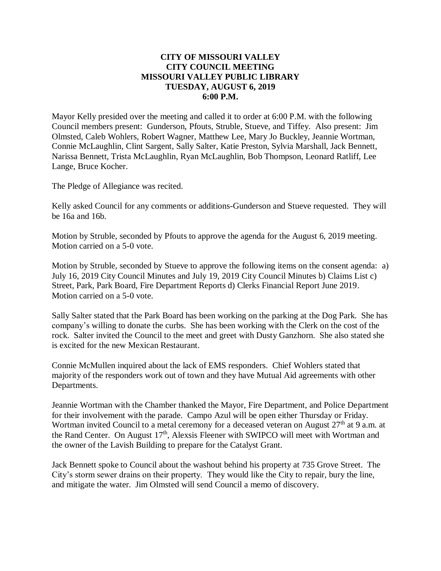## **CITY OF MISSOURI VALLEY CITY COUNCIL MEETING MISSOURI VALLEY PUBLIC LIBRARY TUESDAY, AUGUST 6, 2019 6:00 P.M.**

Mayor Kelly presided over the meeting and called it to order at 6:00 P.M. with the following Council members present: Gunderson, Pfouts, Struble, Stueve, and Tiffey. Also present: Jim Olmsted, Caleb Wohlers, Robert Wagner, Matthew Lee, Mary Jo Buckley, Jeannie Wortman, Connie McLaughlin, Clint Sargent, Sally Salter, Katie Preston, Sylvia Marshall, Jack Bennett, Narissa Bennett, Trista McLaughlin, Ryan McLaughlin, Bob Thompson, Leonard Ratliff, Lee Lange, Bruce Kocher.

The Pledge of Allegiance was recited.

Kelly asked Council for any comments or additions-Gunderson and Stueve requested. They will be 16a and 16b.

Motion by Struble, seconded by Pfouts to approve the agenda for the August 6, 2019 meeting. Motion carried on a 5-0 vote.

Motion by Struble, seconded by Stueve to approve the following items on the consent agenda: a) July 16, 2019 City Council Minutes and July 19, 2019 City Council Minutes b) Claims List c) Street, Park, Park Board, Fire Department Reports d) Clerks Financial Report June 2019. Motion carried on a 5-0 vote.

Sally Salter stated that the Park Board has been working on the parking at the Dog Park. She has company's willing to donate the curbs. She has been working with the Clerk on the cost of the rock. Salter invited the Council to the meet and greet with Dusty Ganzhorn. She also stated she is excited for the new Mexican Restaurant.

Connie McMullen inquired about the lack of EMS responders. Chief Wohlers stated that majority of the responders work out of town and they have Mutual Aid agreements with other Departments.

Jeannie Wortman with the Chamber thanked the Mayor, Fire Department, and Police Department for their involvement with the parade. Campo Azul will be open either Thursday or Friday. Wortman invited Council to a metal ceremony for a deceased veteran on August  $27<sup>th</sup>$  at 9 a.m. at the Rand Center. On August  $17<sup>th</sup>$ , Alexsis Fleener with SWIPCO will meet with Wortman and the owner of the Lavish Building to prepare for the Catalyst Grant.

Jack Bennett spoke to Council about the washout behind his property at 735 Grove Street. The City's storm sewer drains on their property. They would like the City to repair, bury the line, and mitigate the water. Jim Olmsted will send Council a memo of discovery.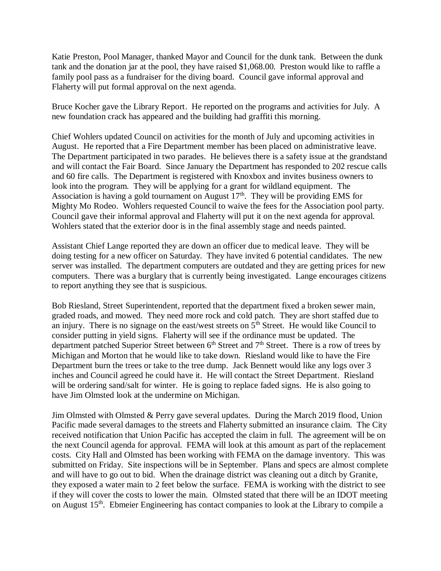Katie Preston, Pool Manager, thanked Mayor and Council for the dunk tank. Between the dunk tank and the donation jar at the pool, they have raised \$1,068.00. Preston would like to raffle a family pool pass as a fundraiser for the diving board. Council gave informal approval and Flaherty will put formal approval on the next agenda.

Bruce Kocher gave the Library Report. He reported on the programs and activities for July. A new foundation crack has appeared and the building had graffiti this morning.

Chief Wohlers updated Council on activities for the month of July and upcoming activities in August. He reported that a Fire Department member has been placed on administrative leave. The Department participated in two parades. He believes there is a safety issue at the grandstand and will contact the Fair Board. Since January the Department has responded to 202 rescue calls and 60 fire calls. The Department is registered with Knoxbox and invites business owners to look into the program. They will be applying for a grant for wildland equipment. The Association is having a gold tournament on August  $17<sup>th</sup>$ . They will be providing EMS for Mighty Mo Rodeo. Wohlers requested Council to waive the fees for the Association pool party. Council gave their informal approval and Flaherty will put it on the next agenda for approval. Wohlers stated that the exterior door is in the final assembly stage and needs painted.

Assistant Chief Lange reported they are down an officer due to medical leave. They will be doing testing for a new officer on Saturday. They have invited 6 potential candidates. The new server was installed. The department computers are outdated and they are getting prices for new computers. There was a burglary that is currently being investigated. Lange encourages citizens to report anything they see that is suspicious.

Bob Riesland, Street Superintendent, reported that the department fixed a broken sewer main, graded roads, and mowed. They need more rock and cold patch. They are short staffed due to an injury. There is no signage on the east/west streets on  $5<sup>th</sup>$  Street. He would like Council to consider putting in yield signs. Flaherty will see if the ordinance must be updated. The department patched Superior Street between  $6<sup>th</sup>$  Street and  $7<sup>th</sup>$  Street. There is a row of trees by Michigan and Morton that he would like to take down. Riesland would like to have the Fire Department burn the trees or take to the tree dump. Jack Bennett would like any logs over 3 inches and Council agreed he could have it. He will contact the Street Department. Riesland will be ordering sand/salt for winter. He is going to replace faded signs. He is also going to have Jim Olmsted look at the undermine on Michigan.

Jim Olmsted with Olmsted & Perry gave several updates. During the March 2019 flood, Union Pacific made several damages to the streets and Flaherty submitted an insurance claim. The City received notification that Union Pacific has accepted the claim in full. The agreement will be on the next Council agenda for approval. FEMA will look at this amount as part of the replacement costs. City Hall and Olmsted has been working with FEMA on the damage inventory. This was submitted on Friday. Site inspections will be in September. Plans and specs are almost complete and will have to go out to bid. When the drainage district was cleaning out a ditch by Granite, they exposed a water main to 2 feet below the surface. FEMA is working with the district to see if they will cover the costs to lower the main. Olmsted stated that there will be an IDOT meeting on August 15th. Ebmeier Engineering has contact companies to look at the Library to compile a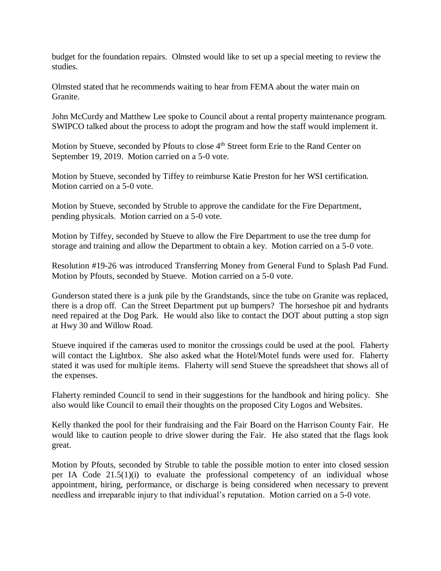budget for the foundation repairs. Olmsted would like to set up a special meeting to review the studies.

Olmsted stated that he recommends waiting to hear from FEMA about the water main on Granite.

John McCurdy and Matthew Lee spoke to Council about a rental property maintenance program. SWIPCO talked about the process to adopt the program and how the staff would implement it.

Motion by Stueve, seconded by Pfouts to close 4<sup>th</sup> Street form Erie to the Rand Center on September 19, 2019. Motion carried on a 5-0 vote.

Motion by Stueve, seconded by Tiffey to reimburse Katie Preston for her WSI certification. Motion carried on a 5-0 vote.

Motion by Stueve, seconded by Struble to approve the candidate for the Fire Department, pending physicals. Motion carried on a 5-0 vote.

Motion by Tiffey, seconded by Stueve to allow the Fire Department to use the tree dump for storage and training and allow the Department to obtain a key. Motion carried on a 5-0 vote.

Resolution #19-26 was introduced Transferring Money from General Fund to Splash Pad Fund. Motion by Pfouts, seconded by Stueve. Motion carried on a 5-0 vote.

Gunderson stated there is a junk pile by the Grandstands, since the tube on Granite was replaced, there is a drop off. Can the Street Department put up bumpers? The horseshoe pit and hydrants need repaired at the Dog Park. He would also like to contact the DOT about putting a stop sign at Hwy 30 and Willow Road.

Stueve inquired if the cameras used to monitor the crossings could be used at the pool. Flaherty will contact the Lightbox. She also asked what the Hotel/Motel funds were used for. Flaherty stated it was used for multiple items. Flaherty will send Stueve the spreadsheet that shows all of the expenses.

Flaherty reminded Council to send in their suggestions for the handbook and hiring policy. She also would like Council to email their thoughts on the proposed City Logos and Websites.

Kelly thanked the pool for their fundraising and the Fair Board on the Harrison County Fair. He would like to caution people to drive slower during the Fair. He also stated that the flags look great.

Motion by Pfouts, seconded by Struble to table the possible motion to enter into closed session per IA Code 21.5(1)(i) to evaluate the professional competency of an individual whose appointment, hiring, performance, or discharge is being considered when necessary to prevent needless and irreparable injury to that individual's reputation. Motion carried on a 5-0 vote.